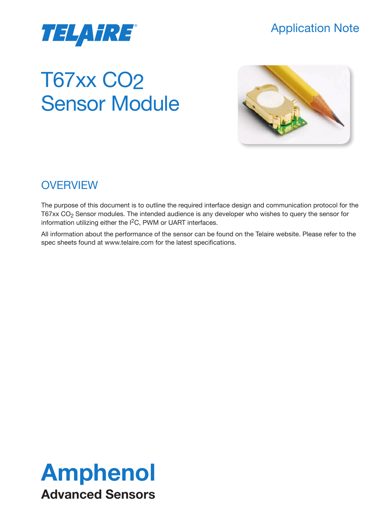

# Application Note

# T67xx CO2 Sensor Module



# **OVERVIEW**

The purpose of this document is to outline the required interface design and communication protocol for the T67xx CO2 Sensor modules. The intended audience is any developer who wishes to query the sensor for information utilizing either the I2C, PWM or UART interfaces.

All information about the performance of the sensor can be found on the Telaire website. Please refer to the spec sheets found at www.telaire.com for the latest specifications.

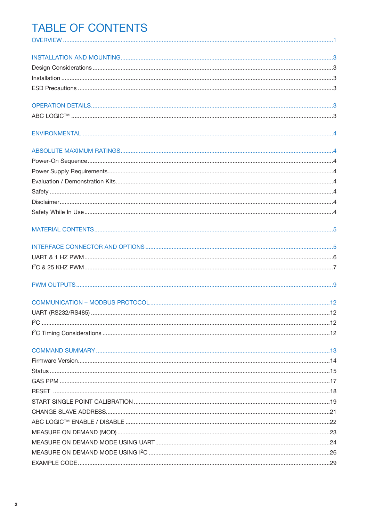# **TABLE OF CONTENTS**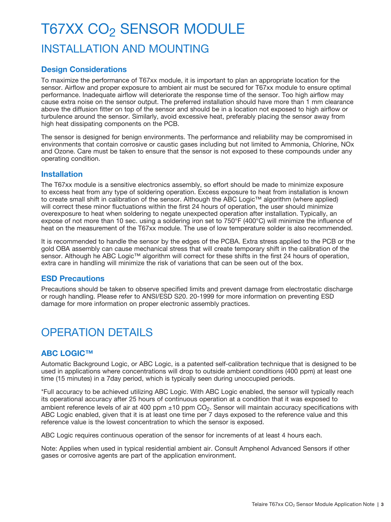# T67XX CO<sub>2</sub> SENSOR MODULE INSTALLATION AND MOUNTING

# **Design Considerations**

To maximize the performance of T67xx module, it is important to plan an appropriate location for the sensor. Airflow and proper exposure to ambient air must be secured for T67xx module to ensure optimal performance. Inadequate airflow will deteriorate the response time of the sensor. Too high airflow may cause extra noise on the sensor output. The preferred installation should have more than 1 mm clearance above the diffusion fitter on top of the sensor and should be in a location not exposed to high airflow or turbulence around the sensor. Similarly, avoid excessive heat, preferably placing the sensor away from high heat dissipating components on the PCB.

The sensor is designed for benign environments. The performance and reliability may be compromised in environments that contain corrosive or caustic gases including but not limited to Ammonia, Chlorine, NOx and Ozone. Care must be taken to ensure that the sensor is not exposed to these compounds under any operating condition.

### **Installation**

The T67xx module is a sensitive electronics assembly, so effort should be made to minimize exposure to excess heat from any type of soldering operation. Excess exposure to heat from installation is known to create small shift in calibration of the sensor. Although the ABC Logic™ algorithm (where applied) will correct these minor fluctuations within the first 24 hours of operation, the user should minimize overexposure to heat when soldering to negate unexpected operation after installation. Typically, an expose of not more than 10 sec. using a soldering iron set to 750°F (400°C) will minimize the influence of heat on the measurement of the T67xx module. The use of low temperature solder is also recommended.

It is recommended to handle the sensor by the edges of the PCBA. Extra stress applied to the PCB or the gold OBA assembly can cause mechanical stress that will create temporary shift in the calibration of the sensor. Although he ABC Logic™ algorithm will correct for these shifts in the first 24 hours of operation, extra care in handling will minimize the risk of variations that can be seen out of the box.

### **ESD Precautions**

Precautions should be taken to observe specified limits and prevent damage from electrostatic discharge or rough handling. Please refer to ANSI/ESD S20. 20-1999 for more information on preventing ESD damage for more information on proper electronic assembly practices.

# OPERATION DETAILS

### **ABC LOGIC™**

Automatic Background Logic, or ABC Logic, is a patented self-calibration technique that is designed to be used in applications where concentrations will drop to outside ambient conditions (400 ppm) at least one time (15 minutes) in a 7day period, which is typically seen during unoccupied periods.

\*Full accuracy to be achieved utilizing ABC Logic. With ABC Logic enabled, the sensor will typically reach its operational accuracy after 25 hours of continuous operation at a condition that it was exposed to ambient reference levels of air at 400 ppm  $\pm$ 10 ppm CO<sub>2</sub>. Sensor will maintain accuracy specifications with ABC Logic enabled, given that it is at least one time per 7 days exposed to the reference value and this reference value is the lowest concentration to which the sensor is exposed.

ABC Logic requires continuous operation of the sensor for increments of at least 4 hours each.

Note: Applies when used in typical residential ambient air. Consult Amphenol Advanced Sensors if other gases or corrosive agents are part of the application environment.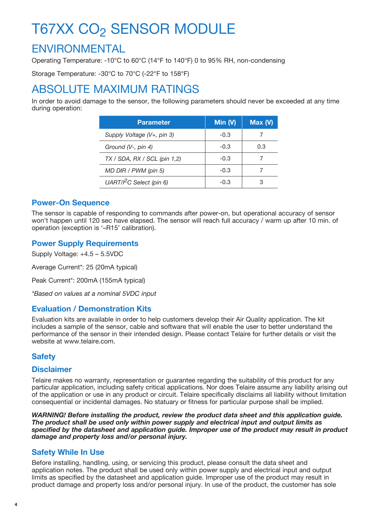# ENVIRONMENTAL

Operating Temperature: -10°C to 60°C (14°F to 140°F) 0 to 95% RH, non-condensing

Storage Temperature: -30°C to 70°C (-22°F to 158°F)

# ABSOLUTE MAXIMUM RATINGS

In order to avoid damage to the sensor, the following parameters should never be exceeded at any time during operation:

| <b>Parameter</b>                | Min $(V)$ | Max(V) |
|---------------------------------|-----------|--------|
| Supply Voltage (V+, pin 3)      | $-0.3$    |        |
| Ground $(V-, pin 4)$            | $-0.3$    | 0.3    |
| $TX / SDA$ , RX / SCL (pin 1,2) | $-0.3$    |        |
| MD DIR / PWM (pin 5)            | $-0.3$    |        |
| UART/ $l^2C$ Select (pin 6)     | $-0.3$    |        |

## **Power-On Sequence**

The sensor is capable of responding to commands after power-on, but operational accuracy of sensor won't happen until 120 sec have elapsed. The sensor will reach full accuracy / warm up after 10 min. of operation (exception is '–R15' calibration).

# **Power Supply Requirements**

Supply Voltage: +4.5 – 5.5VDC

Average Current\*: 25 (20mA typical)

Peak Current\*: 200mA (155mA typical)

*\*Based on values at a nominal 5VDC input*

# **Evaluation / Demonstration Kits**

Evaluation kits are available in order to help customers develop their Air Quality application. The kit includes a sample of the sensor, cable and software that will enable the user to better understand the performance of the sensor in their intended design. Please contact Telaire for further details or visit the website at www.telaire.com.

# **Safety**

### **Disclaimer**

Telaire makes no warranty, representation or guarantee regarding the suitability of this product for any particular application, including safety critical applications. Nor does Telaire assume any liability arising out of the application or use in any product or circuit. Telaire specifically disclaims all liability without limitation consequential or incidental damages. No statuary or fitness for particular purpose shall be implied.

*WARNING! Before installing the product, review the product data sheet and this application guide. The product shall be used only within power supply and electrical input and output limits as specified by the datasheet and application guide. Improper use of the product may result in product damage and property loss and/or personal injury.*

# **Safety While In Use**

Before installing, handling, using, or servicing this product, please consult the data sheet and application notes. The product shall be used only within power supply and electrical input and output limits as specified by the datasheet and application guide. Improper use of the product may result in product damage and property loss and/or personal injury. In use of the product, the customer has sole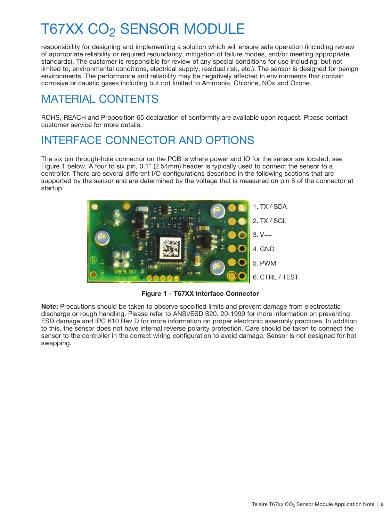responsibility for designing and implementing a solution which will ensure safe operation (including review of appropriate reliability or required redundancy, mitigation of failure modes, and/or meeting appropriate standards). The customer is responsible for review of any special conditions for use including, but not limited to, environmental conditions, electrical supply, residual risk, etc.). The sensor is designed for benign environments. The performance and reliability may be negatively affected in environments that contain corrosive or caustic gases including but not limited to Ammonia, Chlorine, NOx and Ozone.

# MATERIAL CONTENTS

ROHS, REACH and Proposition 65 declaration of conformity are available upon request. Please contact customer service for more details.

# INTERFACE CONNECTOR AND OPTIONS

The six pin through-hole connector on the PCB is where power and IO for the sensor are located, see Figure 1 below. A four to six pin, 0.1" (2.54mm) header is typically used to connect the sensor to a controller. There are several different I/O configurations described in the following sections that are supported by the sensor and are determined by the voltage that is measured on pin 6 of the connector at startup.



**Figure 1 - T67XX Interface Connector**

**Note:** Precautions should be taken to observe specified limits and prevent damage from electrostatic discharge or rough handling. Please refer to ANSI/ESD S20. 20-1999 for more information on preventing ESD damage and IPC 610 Rev D for more information on proper electronic assembly practices. In addition to this, the sensor does not have internal reverse polarity protection. Care should be taken to connect the sensor to the controller in the correct wiring configuration to avoid damage. Sensor is not designed for hot swapping.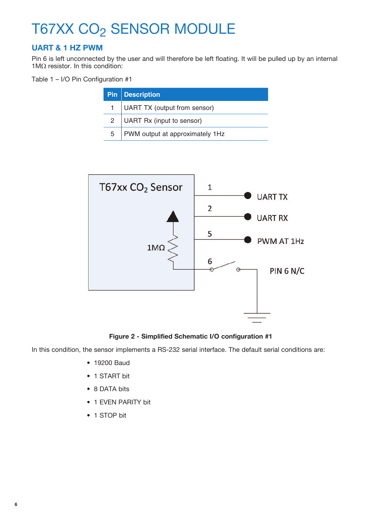# **UART & 1 HZ PWM**

Pin 6 is left unconnected by the user and will therefore be left floating. It will be pulled up by an internal 1MΩ resistor. In this condition:

Table 1 – I/O Pin Configuration #1

|   | <b>Pin</b> Description                 |
|---|----------------------------------------|
|   | UART TX (output from sensor)           |
|   | UART Rx (input to sensor)              |
| 5 | <b>PWM</b> output at approximately 1Hz |



**Figure 2 - Simplified Schematic I/O configuration #1**

In this condition, the sensor implements a RS-232 serial interface. The default serial conditions are:

- 19200 Baud
- 1 START bit
- 8 DATA bits
- 1 EVEN PARITY bit
- 1 STOP bit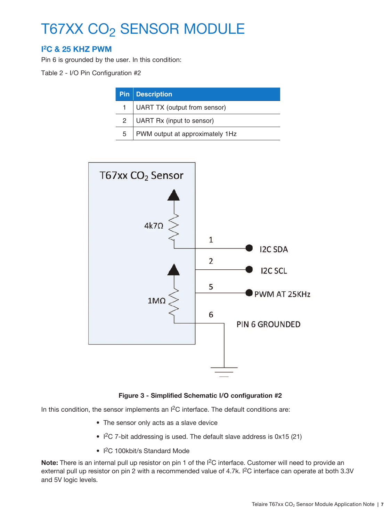# **I 2C & 25 KHZ PWM**

Pin 6 is grounded by the user. In this condition:

Table 2 - I/O Pin Configuration #2

|              | <b>Pin Description</b>          |
|--------------|---------------------------------|
|              | UART TX (output from sensor)    |
| $\mathbf{2}$ | UART Rx (input to sensor)       |
| 5            | PWM output at approximately 1Hz |



#### **Figure 3 - Simplified Schematic I/O configuration #2**

In this condition, the sensor implements an I<sup>2</sup>C interface. The default conditions are:

- The sensor only acts as a slave device
- I 2C 7-bit addressing is used. The default slave address is 0x15 (21)
- I<sup>2</sup>C 100kbit/s Standard Mode

**Note:** There is an internal pull up resistor on pin 1 of the I2C interface. Customer will need to provide an external pull up resistor on pin 2 with a recommended value of 4.7k. I<sup>2</sup>C interface can operate at both 3.3V and 5V logic levels.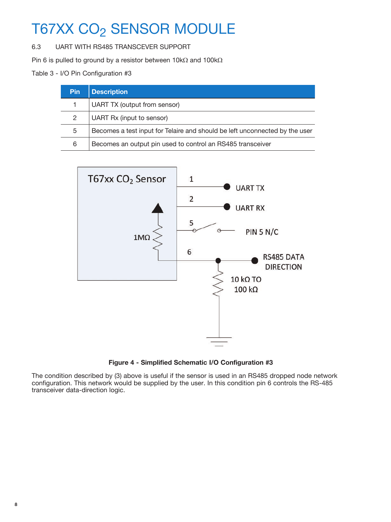6.3 UART WITH RS485 TRANSCEVER SUPPORT

Pin 6 is pulled to ground by a resistor between 10kΩ and 100kΩ

Table 3 - I/O Pin Configuration #3

| <b>Pin</b> | <b>Description</b>                                                          |
|------------|-----------------------------------------------------------------------------|
|            | UART TX (output from sensor)                                                |
| 2          | UART Rx (input to sensor)                                                   |
| 5          | Becomes a test input for Telaire and should be left unconnected by the user |
| 6          | Becomes an output pin used to control an RS485 transceiver                  |



**Figure 4 - Simplified Schematic I/O Configuration #3**

The condition described by (3) above is useful if the sensor is used in an RS485 dropped node network configuration. This network would be supplied by the user. In this condition pin 6 controls the RS-485 transceiver data-direction logic.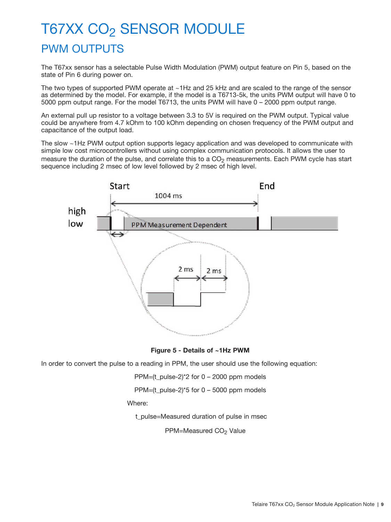# T67XX CO<sub>2</sub> SENSOR MODULE PWM OUTPUTS

The T67xx sensor has a selectable Pulse Width Modulation (PWM) output feature on Pin 5, based on the state of Pin 6 during power on.

The two types of supported PWM operate at ~1Hz and 25 kHz and are scaled to the range of the sensor as determined by the model. For example, if the model is a T6713-5k, the units PWM output will have 0 to 5000 ppm output range. For the model T6713, the units PWM will have 0 – 2000 ppm output range.

An external pull up resistor to a voltage between 3.3 to 5V is required on the PWM output. Typical value could be anywhere from 4.7 kOhm to 100 kOhm depending on chosen frequency of the PWM output and capacitance of the output load.

The slow ~1Hz PWM output option supports legacy application and was developed to communicate with simple low cost microcontrollers without using complex communication protocols. It allows the user to measure the duration of the pulse, and correlate this to a  $CO<sub>2</sub>$  measurements. Each PWM cycle has start sequence including 2 msec of low level followed by 2 msec of high level.



**Figure 5 - Details of ~1Hz PWM**

In order to convert the pulse to a reading in PPM, the user should use the following equation:

PPM=(t\_pulse-2)\*2 for 0 – 2000 ppm models

PPM=(t\_pulse-2)\*5 for 0 – 5000 ppm models

Where:

t\_pulse=Measured duration of pulse in msec

PPM=Measured CO<sub>2</sub> Value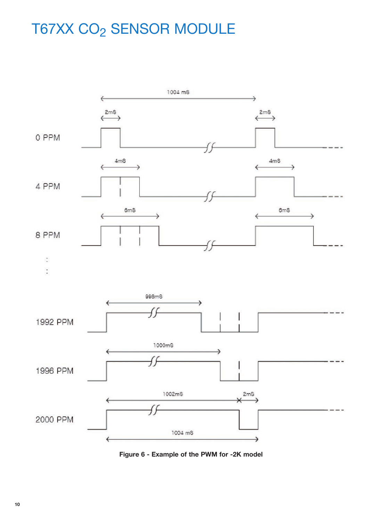

**Figure 6 - Example of the PWM for -2K model**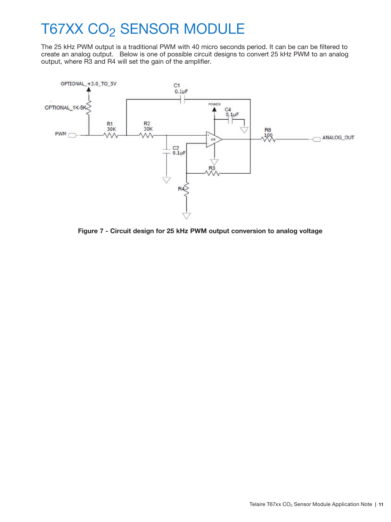The 25 kHz PWM output is a traditional PWM with 40 micro seconds period. It can be can be filtered to create an analog output. Below is one of possible circuit designs to convert 25 kHz PWM to an analog output, where R3 and R4 will set the gain of the amplifier.



**Figure 7 - Circuit design for 25 kHz PWM output conversion to analog voltage**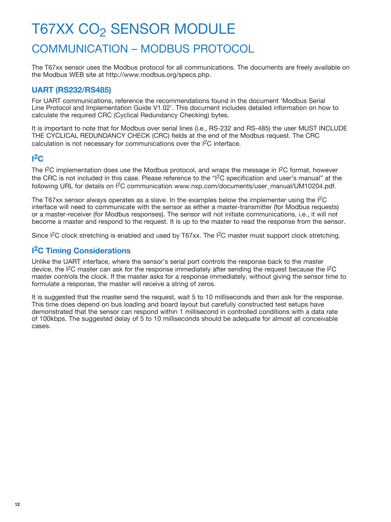# T67XX CO<sub>2</sub> SENSOR MODULE COMMUNICATION – MODBUS PROTOCOL

The T67xx sensor uses the Modbus protocol for all communications. The documents are freely available on the Modbus WEB site at http://www.modbus.org/specs.php.

# **UART (RS232/RS485)**

For UART communications, reference the recommendations found in the document 'Modbus Serial Line Protocol and Implementation Guide V1.02'. This document includes detailed information on how to calculate the required CRC (Cyclical Redundancy Checking) bytes.

It is important to note that for Modbus over serial lines (i.e., RS-232 and RS-485) the user MUST INCLUDE THE CYCLICAL REDUNDANCY CHECK (CRC) fields at the end of the Modbus request. The CRC calculation is not necessary for communications over the I2C interface.

# **I 2C**

The  $12C$  implementation does use the Modbus protocol, and wraps the message in  $12C$  format, however the CRC is not included in this case. Please reference to the "I2C specification and user's manual" at the following URL for details on <sup>12</sup>C communication www.nxp.com/documents/user\_manual/UM10204.pdf.

The T67xx sensor always operates as a slave. In the examples below the implementer using the I2C interface will need to communicate with the sensor as either a master-transmitter (for Modbus requests) or a master-receiver (for Modbus responses). The sensor will not initiate communications, i.e., it will not become a master and respond to the request. It is up to the master to read the response from the sensor.

Since I<sup>2</sup>C clock stretching is enabled and used by T67xx. The I<sup>2</sup>C master must support clock stretching.

# **I 2C Timing Considerations**

Unlike the UART interface, where the sensor's serial port controls the response back to the master device, the I2C master can ask for the response immediately after sending the request because the I2C master controls the clock. If the master asks for a response immediately, without giving the sensor time to formulate a response, the master will receive a string of zeros.

It is suggested that the master send the request, wait 5 to 10 milliseconds and then ask for the response. This time does depend on bus loading and board layout but carefully constructed test setups have demonstrated that the sensor can respond within 1 millisecond in controlled conditions with a data rate of 100kbps. The suggested delay of 5 to 10 milliseconds should be adequate for almost all conceivable cases.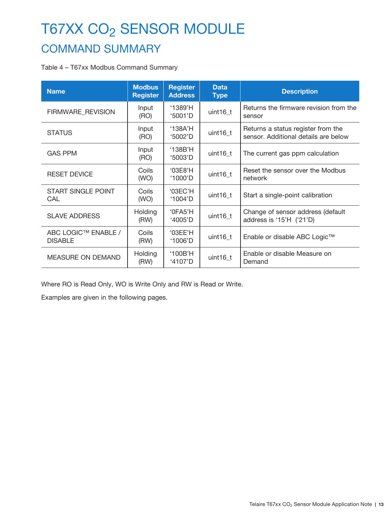# COMMAND SUMMARY

### Table 4 – T67xx Modbus Command Summary

| <b>Name</b>                           | <b>Modbus</b><br><b>Register</b> | <b>Register</b><br><b>Address</b> | <b>Data</b><br><b>Type</b> | <b>Description</b>                                                         |
|---------------------------------------|----------------------------------|-----------------------------------|----------------------------|----------------------------------------------------------------------------|
| FIRMWARE_REVISION                     | Input<br>(RO)                    | '1389'H<br>'5001'D                | uint16_t                   | Returns the firmware revision from the<br>sensor                           |
| <b>STATUS</b>                         | Input<br>(RO)                    | '138A'H<br>'5002'D                | uint16_t                   | Returns a status register from the<br>sensor. Additional details are below |
| <b>GAS PPM</b>                        | Input<br>(RO)                    | '138B'H<br>'5003'D                | uint $16$ t                | The current gas ppm calculation                                            |
| <b>RESET DEVICE</b>                   | Coils<br>(WO)                    | '03E8'H<br>$'1000'$ D             | uint16_t                   | Reset the sensor over the Modbus<br>network                                |
| <b>START SINGLE POINT</b><br>CAL      | Coils<br>(WO)                    | '03EC'H<br>'1004'D                | uint16_t                   | Start a single-point calibration                                           |
| <b>SLAVE ADDRESS</b>                  | Holding<br>(RW)                  | '0FA5'H<br>$4005'$ D              | uint16_t                   | Change of sensor address (default<br>address is '15'H ('21'D)              |
| ABC LOGIC™ ENABLE /<br><b>DISABLE</b> | Coils<br>(RW)                    | '03EE'H<br>'1006'D                | uint $16$ t                | Enable or disable ABC Logic™                                               |
| <b>MEASURE ON DEMAND</b>              | <b>Holding</b><br>(RW)           | '100B'H<br>'4107'D                | uint16_t                   | Enable or disable Measure on<br>Demand                                     |

Where RO is Read Only, WO is Write Only and RW is Read or Write.

Examples are given in the following pages.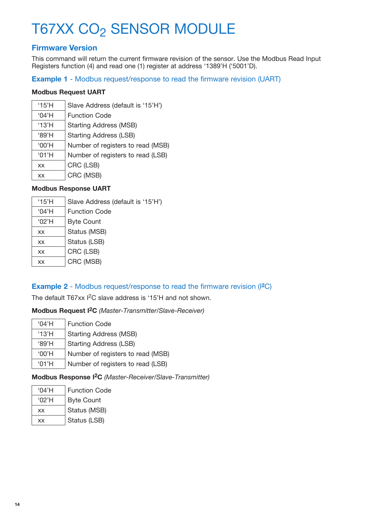# **Firmware Version**

This command will return the current firmware revision of the sensor. Use the Modbus Read Input Registers function (4) and read one (1) register at address '1389'H ('5001'D).

### **Example 1** - Modbus request/response to read the firmware revision (UART)

#### **Modbus Request UART**

| $^{\circ}$ 15'H | Slave Address (default is '15'H') |
|-----------------|-----------------------------------|
| '04'H           | <b>Function Code</b>              |
| '13'H           | <b>Starting Address (MSB)</b>     |
| '89'H           | <b>Starting Address (LSB)</b>     |
| $'00'$ H        | Number of registers to read (MSB) |
| '01'H           | Number of registers to read (LSB) |
| XX              | CRC (LSB)                         |
| XX              | CRC (MSB)                         |

### **Modbus Response UART**

| $^{\circ}$ 15'H | Slave Address (default is '15'H') |
|-----------------|-----------------------------------|
| '04'H           | <b>Function Code</b>              |
| '02'H           | <b>Byte Count</b>                 |
| XX              | Status (MSB)                      |
| XX              | Status (LSB)                      |
| XX              | CRC (LSB)                         |
| XX              | CRC (MSB)                         |

# **Example 2** - Modbus request/response to read the firmware revision (I**2**C)

The default T67xx I<sup>2</sup>C slave address is '15'H and not shown.

### **Modbus Request I2C** *(Master-Transmitter/Slave-Receiver)*

| $^{\circ}$ 04'H | <b>Function Code</b>              |
|-----------------|-----------------------------------|
| '13'H           | <b>Starting Address (MSB)</b>     |
| '89'H           | <b>Starting Address (LSB)</b>     |
| $'00'$ H        | Number of registers to read (MSB) |
| '01'H           | Number of registers to read (LSB) |

**Modbus Response I2C** *(Master-Receiver/Slave-Transmitter)*

| $^{\circ}$ 04'H | <b>Function Code</b> |
|-----------------|----------------------|
| '02'H           | <b>Byte Count</b>    |
| <b>XX</b>       | Status (MSB)         |
| <b>XX</b>       | Status (LSB)         |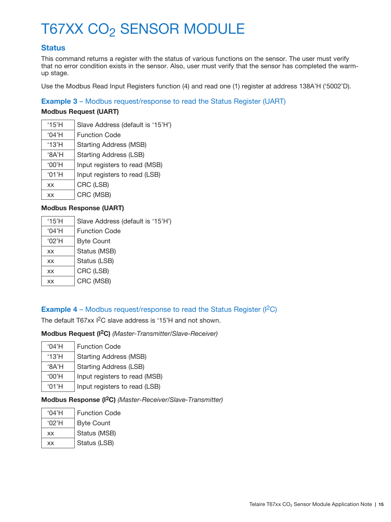## **Status**

This command returns a register with the status of various functions on the sensor. The user must verify that no error condition exists in the sensor. Also, user must verify that the sensor has completed the warmup stage.

Use the Modbus Read Input Registers function (4) and read one (1) register at address 138A'H ('5002'D).

### **Example 3** – Modbus request/response to read the Status Register (UART)

#### **Modbus Request (UART)**

| $^{\prime}$ 15'H | Slave Address (default is '15'H') |
|------------------|-----------------------------------|
| $^{\circ}$ 04'H  | <b>Function Code</b>              |
| '13'H            | <b>Starting Address (MSB)</b>     |
| $'A^8A'H$        | <b>Starting Address (LSB)</b>     |
| $'00'$ H         | Input registers to read (MSB)     |
| '01'H            | Input registers to read (LSB)     |
| XX               | CRC (LSB)                         |
| XX               | CRC (MSB)                         |

#### **Modbus Response (UART)**

| $^{\circ}$ 15'H | Slave Address (default is '15'H') |
|-----------------|-----------------------------------|
| '04'H           | <b>Function Code</b>              |
| $^{\circ}$ 02'H | <b>Byte Count</b>                 |
| <b>XX</b>       | Status (MSB)                      |
| <b>XX</b>       | Status (LSB)                      |
| <b>XX</b>       | CRC (LSB)                         |
| XX              | CRC (MSB)                         |

### **Example 4** – Modbus request/response to read the Status Register ( $|^{2}C$ )

The default T67xx I<sup>2</sup>C slave address is '15'H and not shown.

**Modbus Request (I2C)** *(Master-Transmitter/Slave-Receiver)*

| $^{\circ}$ 04'H | <b>Function Code</b>          |
|-----------------|-------------------------------|
| '13'H           | <b>Starting Address (MSB)</b> |
| $'A^8A'H$       | <b>Starting Address (LSB)</b> |
| '00'H           | Input registers to read (MSB) |
| '01'H           | Input registers to read (LSB) |

#### **Modbus Response (I2C)** *(Master-Receiver/Slave-Transmitter)*

| $^{\circ}$ 04'H | <b>Function Code</b> |
|-----------------|----------------------|
| '02'H           | <b>Byte Count</b>    |
| <b>XX</b>       | Status (MSB)         |
| XX              | Status (LSB)         |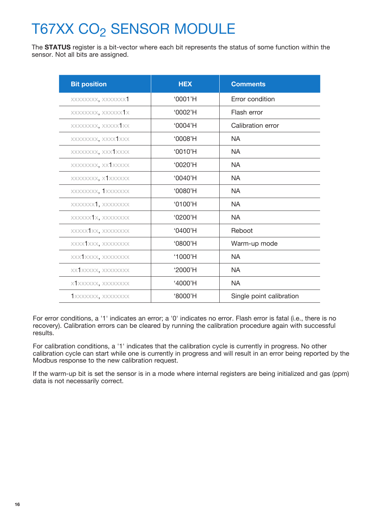The **STATUS** register is a bit-vector where each bit represents the status of some function within the sensor. Not all bits are assigned.

| <b>Bit position</b> | <b>HEX</b> | <b>Comments</b>          |
|---------------------|------------|--------------------------|
| XXXXXXXX, XXXXXXX1  | '0001'H    | <b>Error condition</b>   |
| XXXXXXXX, XXXXXX1X  | '0002'H    | Flash error              |
| XXXXXXXX, XXXXX XX  | '0004'H    | Calibration error        |
| XXXXXXXX, XXXX1XXX  | '0008'H    | <b>NA</b>                |
| XXXXXXXX, XXX1XXXX  | $'0010'$ H | <b>NA</b>                |
| XXXXXXXX, XX1XXXXX  | $'0020'$ H | <b>NA</b>                |
| XXXXXXXX, X1XXXXXX  | $'0040'$ H | <b>NA</b>                |
| XXXXXXXX, 1XXXXXXX  | $'0080'$ H | <b>NA</b>                |
| XXXXXXX1, XXXXXXXX  | $'0100'$ H | <b>NA</b>                |
| XXXXXX1X, XXXXXXXX  | $'0200'$ H | NA.                      |
| XXXXX1XX, XXXXXXXX  | $'0400'$ H | Reboot                   |
| XXXX1XXX, XXXXXXXX  | $'0800'$ H | Warm-up mode             |
| XXX1XXXX, XXXXXXXX  | '1000'H    | <b>NA</b>                |
| XX XXXXXX, XXXXXXXX | $'2000'$ H | <b>NA</b>                |
| X1XXXXXX, XXXXXXXX  | '4000'H    | <b>NA</b>                |
| XXXXXXX, XXXXXXXX   | '8000'H    | Single point calibration |

For error conditions, a '1' indicates an error; a '0' indicates no error. Flash error is fatal (i.e., there is no recovery). Calibration errors can be cleared by running the calibration procedure again with successful results.

For calibration conditions, a '1' indicates that the calibration cycle is currently in progress. No other calibration cycle can start while one is currently in progress and will result in an error being reported by the Modbus response to the new calibration request.

If the warm-up bit is set the sensor is in a mode where internal registers are being initialized and gas (ppm) data is not necessarily correct.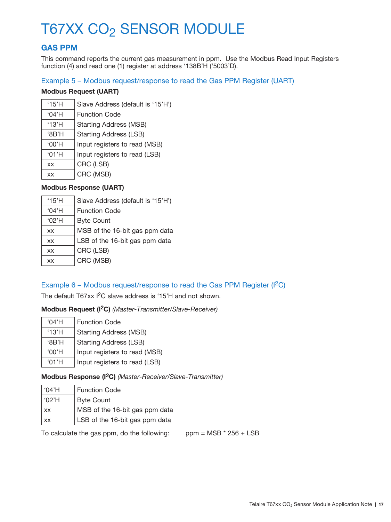# **GAS PPM**

This command reports the current gas measurement in ppm. Use the Modbus Read Input Registers function (4) and read one (1) register at address '138B'H ('5003'D).

#### Example 5 – Modbus request/response to read the Gas PPM Register (UART)

### **Modbus Request (UART)**

| $^{\prime}$ 15'H | Slave Address (default is '15'H') |
|------------------|-----------------------------------|
| '04'H            | <b>Function Code</b>              |
| $^{\prime}$ 13'H | <b>Starting Address (MSB)</b>     |
| 'BB'H            | <b>Starting Address (LSB)</b>     |
| $'00'$ H         | Input registers to read (MSB)     |
| '01'H            | Input registers to read (LSB)     |
| <b>XX</b>        | CRC (LSB)                         |
| XX               | CRC (MSB)                         |

### **Modbus Response (UART)**

| $^{\circ}$ 15'H | Slave Address (default is '15'H') |
|-----------------|-----------------------------------|
| '04'H           | <b>Function Code</b>              |
| '02'H           | <b>Byte Count</b>                 |
| XX              | MSB of the 16-bit gas ppm data    |
| XX              | LSB of the 16-bit gas ppm data    |
| <b>XX</b>       | CRC (LSB)                         |
| XX              | CRC (MSB)                         |

### Example  $6$  – Modbus request/response to read the Gas PPM Register ( ${}^{12}C$ )

The default T67xx I<sup>2</sup>C slave address is '15'H and not shown.

#### **Modbus Request (I2C)** *(Master-Transmitter/Slave-Receiver)*

| $^{\circ}$ 04'H  | <b>Function Code</b>          |
|------------------|-------------------------------|
| $^{\prime}$ 13'H | <b>Starting Address (MSB)</b> |
| 'BB'H            | <b>Starting Address (LSB)</b> |
| '00'H            | Input registers to read (MSB) |
| '01'H            | Input registers to read (LSB) |

### **Modbus Response (I2C)** *(Master-Receiver/Slave-Transmitter)*

| '04'H     | <b>Function Code</b>           |
|-----------|--------------------------------|
| '02'H     | <b>Byte Count</b>              |
| <b>XX</b> | MSB of the 16-bit gas ppm data |
| XX        | LSB of the 16-bit gas ppm data |

To calculate the gas ppm, do the following: ppm =  $MSB * 256 + LSB$ 

Telaire T67xx CO2 Sensor Module Application Note **| 17**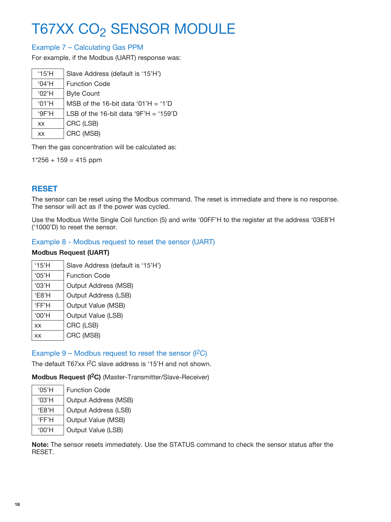## Example 7 – Calculating Gas PPM

For example, if the Modbus (UART) response was:

| $^{\circ}$ 15'H | Slave Address (default is '15'H')     |
|-----------------|---------------------------------------|
| '04'H           | <b>Function Code</b>                  |
| $^{\circ}$ 02'H | <b>Byte Count</b>                     |
| '01'H           | MSB of the 16-bit data '01'H = '1'D   |
| 9F'H            | LSB of the 16-bit data '9F'H = '159'D |
| XX.             | CRC (LSB)                             |
| XX.             | CRC (MSB)                             |
|                 |                                       |

Then the gas concentration will be calculated as:

 $1*256 + 159 = 415$  ppm

# **RESET**

The sensor can be reset using the Modbus command. The reset is immediate and there is no response. The sensor will act as if the power was cycled.

Use the Modbus Write Single Coil function (5) and write '00FF'H to the register at the address '03E8'H ('1000'D) to reset the sensor.

### Example 8 - Modbus request to reset the sensor (UART)

### **Modbus Request (UART)**

| $^{\prime}$ 15'H | Slave Address (default is '15'H') |
|------------------|-----------------------------------|
| '05'H            | <b>Function Code</b>              |
| '03'H            | <b>Output Address (MSB)</b>       |
| 'E8'H            | Output Address (LSB)              |
| 'FF'H            | Output Value (MSB)                |
| '00'H            | Output Value (LSB)                |
| <b>XX</b>        | CRC (LSB)                         |
| <b>XX</b>        | CRC (MSB)                         |

### Example 9 – Modbus request to reset the sensor  $(1^2C)$

The default T67xx I<sup>2</sup>C slave address is '15'H and not shown.

**Modbus Request (I2C)** (Master-Transmitter/Slave-Receiver)

| '05'H | <b>Function Code</b>        |
|-------|-----------------------------|
| '03'H | <b>Output Address (MSB)</b> |
| F8'H  | <b>Output Address (LSB)</b> |
| 'FF'H | Output Value (MSB)          |
| '00'H | Output Value (LSB)          |

**Note:** The sensor resets immediately. Use the STATUS command to check the sensor status after the RESET.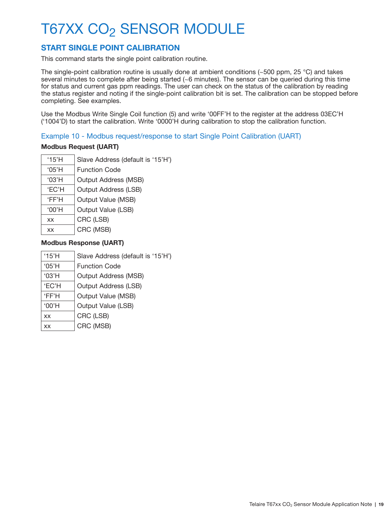# **START SINGLE POINT CALIBRATION**

This command starts the single point calibration routine.

The single-point calibration routine is usually done at ambient conditions (~500 ppm, 25 °C) and takes several minutes to complete after being started (~6 minutes). The sensor can be queried during this time for status and current gas ppm readings. The user can check on the status of the calibration by reading the status register and noting if the single-point calibration bit is set. The calibration can be stopped before completing. See examples.

Use the Modbus Write Single Coil function (5) and write '00FF'H to the register at the address 03EC'H ('1004'D) to start the calibration. Write '0000'H during calibration to stop the calibration function.

#### Example 10 - Modbus request/response to start Single Point Calibration (UART)

#### **Modbus Request (UART)**

| $^{\prime}$ 15'H | Slave Address (default is '15'H') |
|------------------|-----------------------------------|
| '05'H            | <b>Function Code</b>              |
| '03'H            | <b>Output Address (MSB)</b>       |
| <b>EC'H</b>      | <b>Output Address (LSB)</b>       |
| 'FF'H            | Output Value (MSB)                |
| '00'H            | Output Value (LSB)                |
| <b>XX</b>        | CRC (LSB)                         |
| <b>XX</b>        | CRC (MSB)                         |

| '15'H        | Slave Address (default is '15'H') |
|--------------|-----------------------------------|
| '05'H        | <b>Function Code</b>              |
| '03'H        | <b>Output Address (MSB)</b>       |
| <b>'EC'H</b> | <b>Output Address (LSB)</b>       |
| 'FF'H        | Output Value (MSB)                |
| $'00'$ H     | Output Value (LSB)                |
| XX           | CRC (LSB)                         |
| XX           | CRC (MSB)                         |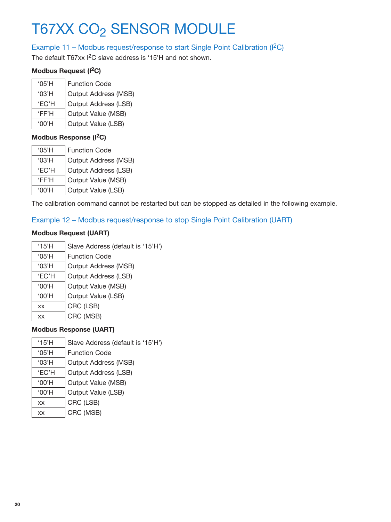### Example 11 – Modbus request/response to start Single Point Calibration (I<sup>2</sup>C)

The default T67xx I<sup>2</sup>C slave address is '15'H and not shown.

## **Modbus Request (I2C)**

| $^{\circ}$ 05'H | <b>Function Code</b>        |
|-----------------|-----------------------------|
| '03'H           | <b>Output Address (MSB)</b> |
| <b>'EC'H</b>    | Output Address (LSB)        |
| 'FF'H           | Output Value (MSB)          |
| $'$ 00'H        | Output Value (LSB)          |

### **Modbus Response (I2C)**

| '05'H        | <b>Function Code</b> |
|--------------|----------------------|
| '03'H        | Output Address (MSB) |
| <b>'EC'H</b> | Output Address (LSB) |
| 'FF'H        | Output Value (MSB)   |
| $'$ 00'H     | Output Value (LSB)   |

The calibration command cannot be restarted but can be stopped as detailed in the following example.

## Example 12 – Modbus request/response to stop Single Point Calibration (UART)

### **Modbus Request (UART)**

| '15'H | Slave Address (default is '15'H') |
|-------|-----------------------------------|
| '05'H | <b>Function Code</b>              |
| '03'H | <b>Output Address (MSB)</b>       |
| 'EC'H | <b>Output Address (LSB)</b>       |
| '00'H | Output Value (MSB)                |
| '00'H | Output Value (LSB)                |
| XX    | CRC (LSB)                         |
| XX    | CRC (MSB)                         |

| '15'H | Slave Address (default is '15'H') |
|-------|-----------------------------------|
| '05'H | <b>Function Code</b>              |
| '03'H | <b>Output Address (MSB)</b>       |
| 'EC'H | <b>Output Address (LSB)</b>       |
| '00'H | Output Value (MSB)                |
| '00'H | Output Value (LSB)                |
| XX    | CRC (LSB)                         |
| XX    | CRC (MSB)                         |
|       |                                   |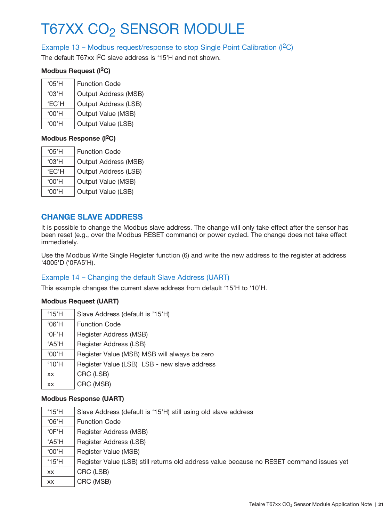### Example 13 – Modbus request/response to stop Single Point Calibration ( $|^{2}C$ )

The default T67xx I<sup>2</sup>C slave address is '15'H and not shown.

#### **Modbus Request (I2C)**

| $^{\circ}$ 05'H | <b>Function Code</b> |
|-----------------|----------------------|
| '03'H           | Output Address (MSB) |
| <b>'EC'H</b>    | Output Address (LSB) |
| $'00'$ H        | Output Value (MSB)   |
| $'$ 00'H        | Output Value (LSB)   |

#### **Modbus Response (I2C)**

| $^{\circ}$ 05'H | <b>Function Code</b> |
|-----------------|----------------------|
| '03'H           | Output Address (MSB) |
| 'FC'H           | Output Address (LSB) |
| $'00'$ H        | Output Value (MSB)   |
| '00'H           | Output Value (LSB)   |
|                 |                      |

## **CHANGE SLAVE ADDRESS**

It is possible to change the Modbus slave address. The change will only take effect after the sensor has been reset (e.g., over the Modbus RESET command) or power cycled. The change does not take effect immediately.

Use the Modbus Write Single Register function (6) and write the new address to the register at address '4005'D ('0FA5'H).

### Example 14 – Changing the default Slave Address (UART)

This example changes the current slave address from default '15'H to '10'H.

#### **Modbus Request (UART)**

| $'06'$ H<br><b>Function Code</b><br>Register Address (MSB)<br>$^{\circ}$ OF'H<br>Register Address (LSB)<br>A5'H | $^{\circ}$ 15'H |
|-----------------------------------------------------------------------------------------------------------------|-----------------|
|                                                                                                                 |                 |
|                                                                                                                 |                 |
|                                                                                                                 |                 |
| Register Value (MSB) MSB will always be zero<br>$'00'$ H                                                        |                 |
| Register Value (LSB) LSB - new slave address<br>$^{\circ}10'$ H                                                 |                 |
| CRC (LSB)<br><b>XX</b>                                                                                          |                 |
| CRC (MSB)<br>XX.                                                                                                |                 |

- '15'H Slave Address (default is '15'H) still using old slave address
- '06'H Function Code
- '0F'H Register Address (MSB)
- 'A5'H Register Address (LSB)
- '00'H Register Value (MSB)
- '15'H | Register Value (LSB) still returns old address value because no RESET command issues yet
- $xx$   $|$  CRC (LSB)
- $xx$   $|$  CRC (MSB)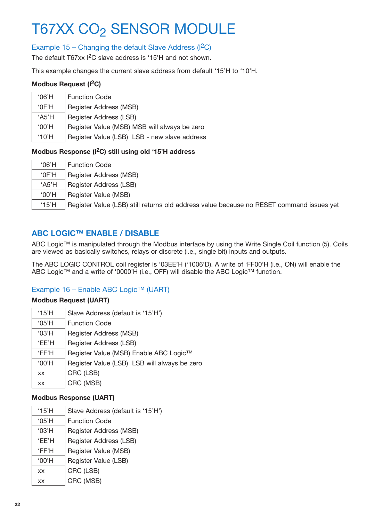# Example 15 – Changing the default Slave Address ( $|^{2}C$ )

The default T67xx I<sup>2</sup>C slave address is '15'H and not shown.

This example changes the current slave address from default '15'H to '10'H.

#### **Modbus Request (I2C)**

| $'06'$ H        | <b>Function Code</b>                         |
|-----------------|----------------------------------------------|
| $^{\circ}$ OF'H | Register Address (MSB)                       |
| 'A5'H           | Register Address (LSB)                       |
| '00'H           | Register Value (MSB) MSB will always be zero |
| $^{\circ}10'$ H | Register Value (LSB) LSB - new slave address |

### **Modbus Response (I2C) still using old '15'H address**

| $'06'$ H        | <b>Function Code</b>                                                                     |
|-----------------|------------------------------------------------------------------------------------------|
| $^{\circ}$ OF'H | Register Address (MSB)                                                                   |
| $A5'$ H         | Register Address (LSB)                                                                   |
| $'00'$ H        | Register Value (MSB)                                                                     |
| $^{\circ}$ 15'H | Register Value (LSB) still returns old address value because no RESET command issues yet |

# **ABC LOGIC™ ENABLE / DISABLE**

ABC Logic™ is manipulated through the Modbus interface by using the Write Single Coil function (5). Coils are viewed as basically switches, relays or discrete (i.e., single bit) inputs and outputs.

The ABC LOGIC CONTROL coil register is '03EE'H ('1006'D). A write of 'FF00'H (i.e., ON) will enable the ABC Logic™ and a write of '0000'H (i.e., OFF) will disable the ABC Logic™ function.

### Example 16 – Enable ABC Logic™ (UART)

#### **Modbus Request (UART)**

| '15'H     | Slave Address (default is '15'H')            |
|-----------|----------------------------------------------|
| '05'H     | <b>Function Code</b>                         |
| '03'H     | Register Address (MSB)                       |
| 'EE'H     | Register Address (LSB)                       |
| 'FF'H     | Register Value (MSB) Enable ABC Logic™       |
| $'00'$ H  | Register Value (LSB) LSB will always be zero |
| <b>XX</b> | CRC (LSB)                                    |
| <b>XX</b> | CRC (MSB)                                    |

| '15'H           | Slave Address (default is '15'H') |
|-----------------|-----------------------------------|
| $^{\circ}$ 05'H | <b>Function Code</b>              |
| '03'H           | Register Address (MSB)            |
| 'EE'H           | Register Address (LSB)            |
| 'FF'H           | Register Value (MSB)              |
| $'00'$ H        | Register Value (LSB)              |
| <b>XX</b>       | CRC (LSB)                         |
| XX              | CRC (MSB)                         |
|                 |                                   |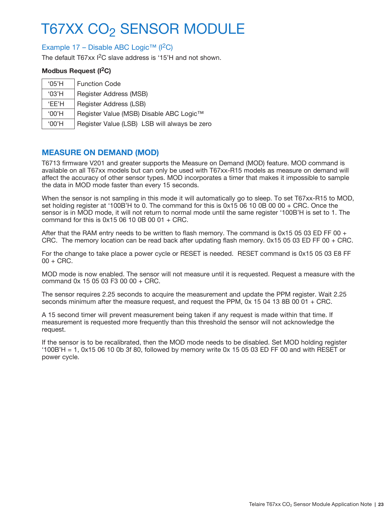### Example 17 – Disable ABC Logic™ (I2C)

The default T67xx I<sup>2</sup>C slave address is '15'H and not shown.

#### **Modbus Request (I2C)**

| $^{\circ}$ 05'H | <b>Function Code</b>                         |
|-----------------|----------------------------------------------|
| '03'H           | Register Address (MSB)                       |
| 'FF'H           | Register Address (LSB)                       |
| '00'H           | Register Value (MSB) Disable ABC Logic™      |
| '00'H           | Register Value (LSB) LSB will always be zero |

### **MEASURE ON DEMAND (MOD)**

T6713 firmware V201 and greater supports the Measure on Demand (MOD) feature. MOD command is available on all T67xx models but can only be used with T67xx-R15 models as measure on demand will affect the accuracy of other sensor types. MOD incorporates a timer that makes it impossible to sample the data in MOD mode faster than every 15 seconds.

When the sensor is not sampling in this mode it will automatically go to sleep. To set T67xx-R15 to MOD, set holding register at '100B'H to 0. The command for this is 0x15 06 10 0B 00 00 + CRC. Once the sensor is in MOD mode, it will not return to normal mode until the same register '100B'H is set to 1. The command for this is  $0x1506100B0001 + CRC$ .

After that the RAM entry needs to be written to flash memory. The command is  $0 \times 150503$  ED FF 00 + CRC. The memory location can be read back after updating flash memory. 0x15 05 03 ED FF 00 + CRC.

For the change to take place a power cycle or RESET is needed. RESET command is 0x15 05 03 E8 FF  $00 + CRC$ .

MOD mode is now enabled. The sensor will not measure until it is requested. Request a measure with the command 0x 15 05 03 F3 00 00 + CRC.

The sensor requires 2.25 seconds to acquire the measurement and update the PPM register. Wait 2.25 seconds minimum after the measure request, and request the PPM, 0x 15 04 13 8B 00 01 + CRC.

A 15 second timer will prevent measurement being taken if any request is made within that time. If measurement is requested more frequently than this threshold the sensor will not acknowledge the request.

If the sensor is to be recalibrated, then the MOD mode needs to be disabled. Set MOD holding register  $'100B'H = 1$ , 0x15 06 10 0b 3f 80, followed by memory write 0x 15 05 03 ED FF 00 and with RESET or power cycle.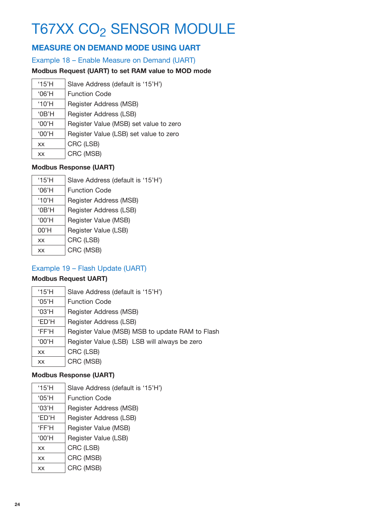# **MEASURE ON DEMAND MODE USING UART**

Example 18 – Enable Measure on Demand (UART)

## **Modbus Request (UART) to set RAM value to MOD mode**

| $^{\prime}$ 15'H | Slave Address (default is '15'H')      |
|------------------|----------------------------------------|
| $'06'$ H         | <b>Function Code</b>                   |
| $^{\circ}10'$ H  | Register Address (MSB)                 |
| '0B'H            | Register Address (LSB)                 |
| $'00'$ H         | Register Value (MSB) set value to zero |
| '00'H            | Register Value (LSB) set value to zero |
| <b>XX</b>        | CRC (LSB)                              |
| XX               | CRC (MSB)                              |

### **Modbus Response (UART)**

| '15'H           | Slave Address (default is '15'H') |
|-----------------|-----------------------------------|
| $'06'$ H        | <b>Function Code</b>              |
| $^{\circ}10'$ H | Register Address (MSB)            |
| $^{\circ}$ OB'H | Register Address (LSB)            |
| '00'H           | Register Value (MSB)              |
| 00'H            | Register Value (LSB)              |
| XX              | CRC (LSB)                         |
| XX              | CRC (MSB)                         |

# Example 19 – Flash Update (UART)

### **Modbus Request UART)**

| $^{\circ}15'$ H | Slave Address (default is '15'H')               |
|-----------------|-------------------------------------------------|
| '05'H           | <b>Function Code</b>                            |
| '03'H           | Register Address (MSB)                          |
| <b>ED'H</b>     | Register Address (LSB)                          |
| 'FF'H           | Register Value (MSB) MSB to update RAM to Flash |
| $'00'$ H        | Register Value (LSB) LSB will always be zero    |
| XX.             | CRC (LSB)                                       |
| XX              | CRC (MSB)                                       |

| $^{\circ}$ 15'H | Slave Address (default is '15'H') |
|-----------------|-----------------------------------|
| $^{\circ}$ 05'H | <b>Function Code</b>              |
| '03'H           | Register Address (MSB)            |
| 'ED'H           | Register Address (LSB)            |
| 'FF'H           | Register Value (MSB)              |
| '00'H           | Register Value (LSB)              |
| <b>XX</b>       | CRC (LSB)                         |
| <b>XX</b>       | CRC (MSB)                         |
| XX              | CRC (MSB)                         |
|                 |                                   |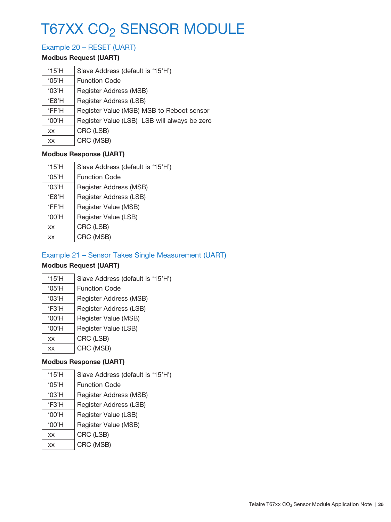# Example 20 – RESET (UART)

### **Modbus Request (UART)**

| $^{\circ}15'$ H | Slave Address (default is '15'H')            |
|-----------------|----------------------------------------------|
| '05'H           | <b>Function Code</b>                         |
| '03'H           | Register Address (MSB)                       |
| 'E8'H           | Register Address (LSB)                       |
| 'FF'H           | Register Value (MSB) MSB to Reboot sensor    |
| $'00'$ H        | Register Value (LSB) LSB will always be zero |
| XX              | CRC (LSB)                                    |
| XX              | CRC (MSB)                                    |

### **Modbus Response (UART)**

| '15'H     | Slave Address (default is '15'H') |
|-----------|-----------------------------------|
| '05'H     | <b>Function Code</b>              |
| '03'H     | Register Address (MSB)            |
| $E8'$ H   | Register Address (LSB)            |
| 'FF'H     | Register Value (MSB)              |
| '00'H     | Register Value (LSB)              |
| <b>XX</b> | CRC (LSB)                         |
| XX        | CRC (MSB)                         |

# Example 21 – Sensor Takes Single Measurement (UART)

# **Modbus Request (UART)**

| '15'H           | Slave Address (default is '15'H') |
|-----------------|-----------------------------------|
| $^{\circ}$ 05'H | <b>Function Code</b>              |
| '03'H           | Register Address (MSB)            |
| F3'H            | Register Address (LSB)            |
| '00'H           | Register Value (MSB)              |
| '00'H           | Register Value (LSB)              |
| <b>XX</b>       | CRC (LSB)                         |
| XX              | CRC (MSB)                         |
|                 |                                   |

| '15'H           | Slave Address (default is '15'H') |
|-----------------|-----------------------------------|
| $^{\circ}$ 05'H | <b>Function Code</b>              |
| '03'H           | Register Address (MSB)            |
| 'F3'H           | Register Address (LSB)            |
| $'00'$ H        | Register Value (LSB)              |
| '00'H           | Register Value (MSB)              |
| XX              | CRC (LSB)                         |
| XX              | CRC (MSB)                         |
|                 |                                   |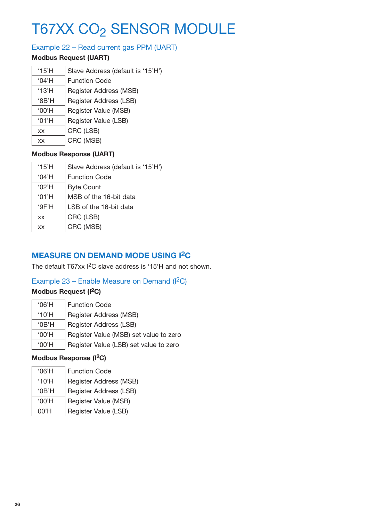# Example 22 – Read current gas PPM (UART)

### **Modbus Request (UART)**

| '15'H | Slave Address (default is '15'H') |
|-------|-----------------------------------|
| '04'H | <b>Function Code</b>              |
| '13'H | Register Address (MSB)            |
| 'BB'H | Register Address (LSB)            |
| '00'H | Register Value (MSB)              |
| '01'H | Register Value (LSB)              |
| XX    | CRC (LSB)                         |
| XX    | CRC (MSB)                         |

### **Modbus Response (UART)**

| $^{\circ}$ 15'H | Slave Address (default is '15'H') |
|-----------------|-----------------------------------|
| '04'H           | <b>Function Code</b>              |
| '02'H           | <b>Byte Count</b>                 |
| '01'H           | MSB of the 16-bit data            |
| 9F'H            | LSB of the 16-bit data            |
| <b>XX</b>       | CRC (LSB)                         |
| XX              | CRC (MSB)                         |

# **MEASURE ON DEMAND MODE USING I2C**

The default T67xx I<sup>2</sup>C slave address is '15'H and not shown.

## Example 23 – Enable Measure on Demand (I<sup>2</sup>C)

## **Modbus Request (I2C)**

| $'06'$ H        | <b>Function Code</b>                   |
|-----------------|----------------------------------------|
| $^{\circ}10'$ H | Register Address (MSB)                 |
| '0B'H           | Register Address (LSB)                 |
| '00'H           | Register Value (MSB) set value to zero |
| '00'H           | Register Value (LSB) set value to zero |

### **Modbus Response (I2C)**

| '06'H           | <b>Function Code</b>   |
|-----------------|------------------------|
| $^{\circ}10'$ H | Register Address (MSB) |
| 'OB'H           | Register Address (LSB) |
| '00'H           | Register Value (MSB)   |
| $00'$ H         | Register Value (LSB)   |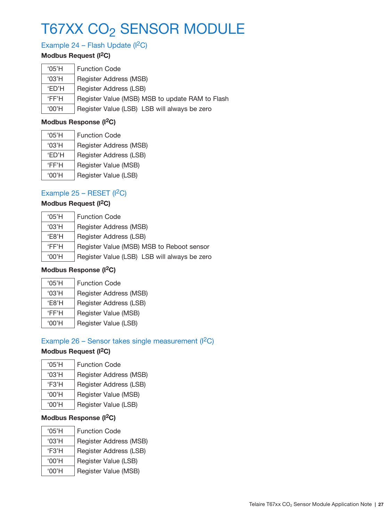# Example 24 – Flash Update  $(1^2C)$

# **Modbus Request (I2C)**

| '05'H       | <b>Function Code</b>                            |
|-------------|-------------------------------------------------|
| '03'H       | Register Address (MSB)                          |
| <b>ED'H</b> | Register Address (LSB)                          |
| 'FF'H       | Register Value (MSB) MSB to update RAM to Flash |
| $'00'$ H    | Register Value (LSB) LSB will always be zero    |

### **Modbus Response (I2C)**

| $^{\circ}$ 05'H | <b>Function Code</b>   |
|-----------------|------------------------|
| '03'H           | Register Address (MSB) |
| <b>FD'H</b>     | Register Address (LSB) |
| 'FF'H           | Register Value (MSB)   |
| $'$ 00'H        | Register Value (LSB)   |
|                 |                        |

# Example  $25 - RESET (I<sup>2</sup>C)$

# **Modbus Request (I2C)**

| $^{\circ}$ 05'H | <b>Function Code</b>                         |
|-----------------|----------------------------------------------|
| '03'H           | Register Address (MSB)                       |
| F8'H            | Register Address (LSB)                       |
| 'FF'H           | Register Value (MSB) MSB to Reboot sensor    |
| '00'H           | Register Value (LSB) LSB will always be zero |

### **Modbus Response (I2C)**

 $\overline{\phantom{0}}$ 

| '05'H | <b>Function Code</b>   |
|-------|------------------------|
| '03'H | Register Address (MSB) |
| F8'H  | Register Address (LSB) |
| 'FF'H | Register Value (MSB)   |
| '00'H | Register Value (LSB)   |

# Example 26 – Sensor takes single measurement  $(1^2C)$

# **Modbus Request (I2C)**

| $^{\circ}$ 05'H | <b>Function Code</b>   |  |
|-----------------|------------------------|--|
| '03'H           | Register Address (MSB) |  |
| F3'H            | Register Address (LSB) |  |
| '00'H           | Register Value (MSB)   |  |
| $'$ 00'H        | Register Value (LSB)   |  |

# **Modbus Response (I2C)**

| '05'H    | <b>Function Code</b>   |
|----------|------------------------|
| '03'H    | Register Address (MSB) |
| F3'H     | Register Address (LSB) |
| $'00'$ H | Register Value (LSB)   |
| '00'H    | Register Value (MSB)   |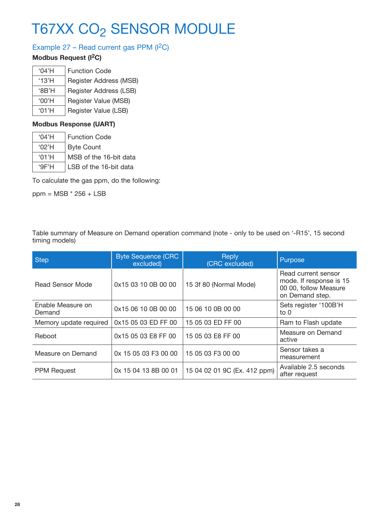# Example 27 - Read current gas PPM (I<sup>2</sup>C)

# **Modbus Request (I2C)**

| '04'H    | <b>Function Code</b>   |
|----------|------------------------|
| '13'H    | Register Address (MSB) |
| 'BB'H    | Register Address (LSB) |
| $'00'$ H | Register Value (MSB)   |
| '01'H    | Register Value (LSB)   |

### **Modbus Response (UART)**

| $^{\circ}$ 04'H | Function Code          |
|-----------------|------------------------|
| '02'H           | <b>Byte Count</b>      |
| '01'H           | MSB of the 16-bit data |
| 9F'H            | LSB of the 16-bit data |

To calculate the gas ppm, do the following:

ppm = MSB \* 256 + LSB

Table summary of Measure on Demand operation command (note - only to be used on '-R15', 15 second timing models)

| <b>Step</b>                 | <b>Byte Sequence (CRC</b><br>excluded) | <b>Reply</b><br>(CRC excluded) | Purpose                                                                                    |
|-----------------------------|----------------------------------------|--------------------------------|--------------------------------------------------------------------------------------------|
| Read Sensor Mode            | 0x15 03 10 0B 00 00                    | 15 3f 80 (Normal Mode)         | Read current sensor<br>mode. If response is 15<br>00 00, follow Measure<br>on Demand step. |
| Enable Measure on<br>Demand | 0x15 06 10 0B 00 00                    | 15 06 10 0B 00 00              | Sets register '100B'H<br>to $0$                                                            |
| Memory update required      | 0x15 05 03 ED FF 00                    | 15 05 03 ED FF 00              | Ram to Flash update                                                                        |
| Reboot                      | 0x15 05 03 E8 FF 00                    | 15 05 03 E8 FF 00              | Measure on Demand<br>active                                                                |
| Measure on Demand           | 0x 15 05 03 F3 00 00                   | 15 05 03 F3 00 00              | Sensor takes a<br>measurement                                                              |
| <b>PPM Request</b>          | 0x 15 04 13 8B 00 01                   | 15 04 02 01 9C (Ex. 412 ppm)   | Available 2.5 seconds<br>after request                                                     |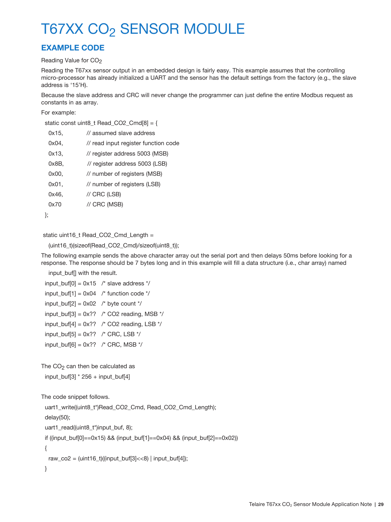# **EXAMPLE CODE**

#### Reading Value for CO<sub>2</sub>

Reading the T67xx sensor output in an embedded design is fairly easy. This example assumes that the controlling micro-processor has already initialized a UART and the sensor has the default settings from the factory (e.g., the slave address is '15'H).

Because the slave address and CRC will never change the programmer can just define the entire Modbus request as constants in as array.

#### For example:

```
 static const uint8_t Read_CO2_Cmd[8] = {
```

| 0x15, | // assumed slave address             |
|-------|--------------------------------------|
| 0x04, | // read input register function code |
| 0x13, | // register address 5003 (MSB)       |
| 0x8B. | // register address 5003 (LSB)       |
| 0x00. | // number of registers (MSB)         |
| 0x01. | // number of registers (LSB)         |
| 0x46. | $\prime\prime$ CRC (LSB)             |
| 0x70  | // CRC (MSB)                         |
|       |                                      |

#### static uint16\_t Read\_CO2\_Cmd\_Length =

```
 (uint16_t)(sizeof(Read_CO2_Cmd)/sizeof(uint8_t));
```
The following example sends the above character array out the serial port and then delays 50ms before looking for a response. The response should be 7 bytes long and in this example will fill a data structure (i.e., char array) named

input\_buf[] with the result.

```
input_buf[0] = 0x15 /* slave address */
input_buff[1] = 0x04 /* function code */
input_buff[2] = 0x02 /* byte count */
input_buf[3] = 0x?? /* CO2 reading, MSB */
input_buf[4] = 0x?? /* CO2 reading, LSB */
input_buf[5] = 0x?? /* CRC, LSB */
input_buff[6] = 0x?? /* CRC, MSB */
```
The  $CO<sub>2</sub>$  can then be calculated as

```
 input_buf[3] * 256 + input_buf[4]
```

```
The code snippet follows.
```
uart1\_write((uint8\_t\*)Read\_CO2\_Cmd, Read\_CO2\_Cmd\_Length); delay(50); uart1\_read((uint8\_t\*)input\_buf, 8); if ((input\_buf[0]==0x15) && (input\_buf[1]==0x04) && (input\_buf[2]==0x02)) { raw\_co2 =  $(uint16_t)((input_buff3] << 8)$  | input\_buf[4]);

}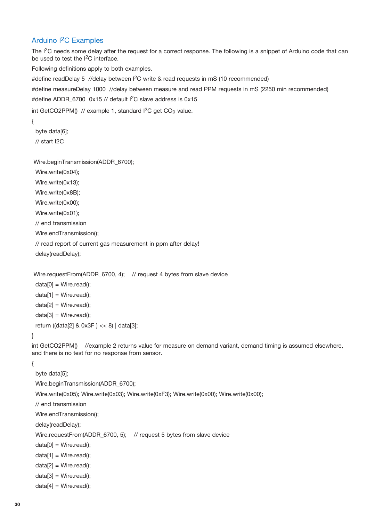### Arduino I2C Examples

The I<sup>2</sup>C needs some delay after the request for a correct response. The following is a snippet of Arduino code that can be used to test the I<sup>2</sup>C interface.

Following definitions apply to both examples.

#define readDelay 5 //delay between I<sup>2</sup>C write & read requests in mS (10 recommended)

#define measureDelay 1000 //delay between measure and read PPM requests in mS (2250 min recommended)

#define ADDR 6700 0x15 // default I<sup>2</sup>C slave address is 0x15

int GetCO2PPM $()$  // example 1, standard  $I<sup>2</sup>C$  get CO<sub>2</sub> value.

{

byte data[6];

// start I2C

Wire.beginTransmission(ADDR\_6700);

Wire.write(0x04);

Wire.write(0x13);

Wire.write(0x8B);

Wire.write(0x00);

Wire.write(0x01);

// end transmission

Wire.endTransmission();

// read report of current gas measurement in ppm after delay!

delay(readDelay);

Wire.requestFrom(ADDR\_6700, 4); // request 4 bytes from slave device

 $data[0] = Wire.read();$  $data[1] = Wire.read();$ 

 $data[2] = Wire.read();$ 

 $data[3] = Wire.read();$ 

return ((data[2] & 0x3F ) << 8) | data[3];

#### }

int GetCO2PPM() //example 2 returns value for measure on demand variant, demand timing is assumed elsewhere, and there is no test for no response from sensor.

{

 byte data[5]; Wire.beginTransmission(ADDR\_6700); Wire.write(0x05); Wire.write(0x03); Wire.write(0xF3); Wire.write(0x00); Wire.write(0x00); // end transmission Wire.endTransmission(); delay(readDelay); Wire.requestFrom(ADDR\_6700, 5); // request 5 bytes from slave device  $data[0] = Wire.read();$  $data[1] = Wire.read();$  $data[2] = Wire.read();$  $data[3] = Wire.read();$ 

 $data[4] = Wire.read();$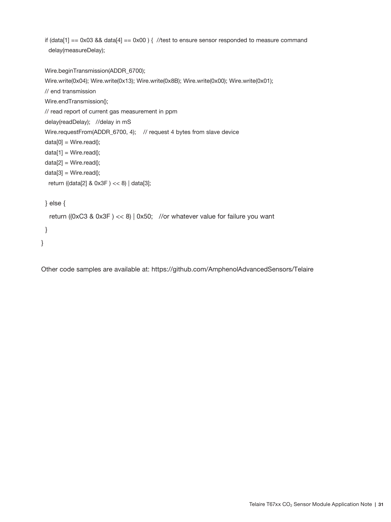if (data[1] == 0x03 && data[4] == 0x00 ) { //test to ensure sensor responded to measure command delay(measureDelay);

 Wire.beginTransmission(ADDR\_6700); Wire.write(0x04); Wire.write(0x13); Wire.write(0x8B); Wire.write(0x00); Wire.write(0x01); // end transmission Wire.endTransmission(); // read report of current gas measurement in ppm delay(readDelay); //delay in mS Wire.requestFrom(ADDR\_6700, 4); // request 4 bytes from slave device  $data[0] = Wire.read();$  $data[1] = Wire.read();$  data[2] = Wire.read();  $data[3] = Wire.read();$  return ((data[2] & 0x3F ) << 8) | data[3]; } else { return ((0xC3 & 0x3F ) << 8) | 0x50; //or whatever value for failure you want } }

Other code samples are available at: https://github.com/AmphenolAdvancedSensors/Telaire